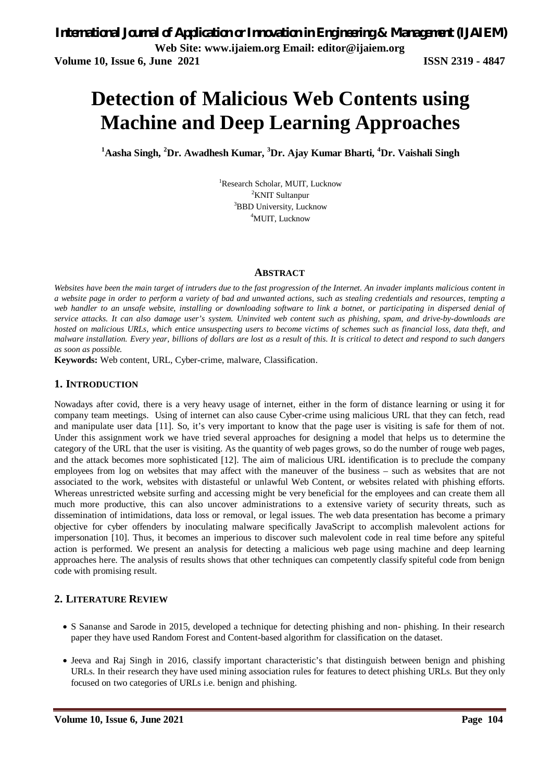# **Detection of Malicious Web Contents using Machine and Deep Learning Approaches**

**<sup>1</sup>Aasha Singh, <sup>2</sup>Dr. Awadhesh Kumar, <sup>3</sup>Dr. Ajay Kumar Bharti, <sup>4</sup>Dr. Vaishali Singh**

<sup>1</sup>Research Scholar, MUIT, Lucknow <sup>2</sup>KNIT Sultanpur <sup>3</sup>BBD University, Lucknow <sup>4</sup>MUIT, Lucknow

### **ABSTRACT**

*Websites have been the main target of intruders due to the fast progression of the Internet. An invader implants malicious content in a website page in order to perform a variety of bad and unwanted actions, such as stealing credentials and resources, tempting a web handler to an unsafe website, installing or downloading software to link a botnet, or participating in dispersed denial of service attacks. It can also damage user's system. Uninvited web content such as phishing, spam, and drive-by-downloads are hosted on malicious URLs, which entice unsuspecting users to become victims of schemes such as financial loss, data theft, and malware installation. Every year, billions of dollars are lost as a result of this. It is critical to detect and respond to such dangers as soon as possible.* 

**Keywords:** Web content, URL, Cyber-crime, malware, Classification.

## **1. INTRODUCTION**

Nowadays after covid, there is a very heavy usage of internet, either in the form of distance learning or using it for company team meetings. Using of internet can also cause Cyber-crime using malicious URL that they can fetch, read and manipulate user data [11]. So, it's very important to know that the page user is visiting is safe for them of not. Under this assignment work we have tried several approaches for designing a model that helps us to determine the category of the URL that the user is visiting. As the quantity of web pages grows, so do the number of rouge web pages, and the attack becomes more sophisticated [12]. The aim of malicious URL identification is to preclude the company employees from log on websites that may affect with the maneuver of the business – such as websites that are not associated to the work, websites with distasteful or unlawful Web Content, or websites related with phishing efforts. Whereas unrestricted website surfing and accessing might be very beneficial for the employees and can create them all much more productive, this can also uncover administrations to a extensive variety of security threats, such as dissemination of intimidations, data loss or removal, or legal issues. The web data presentation has become a primary objective for cyber offenders by inoculating malware specifically JavaScript to accomplish malevolent actions for impersonation [10]. Thus, it becomes an imperious to discover such malevolent code in real time before any spiteful action is performed. We present an analysis for detecting a malicious web page using machine and deep learning approaches here. The analysis of results shows that other techniques can competently classify spiteful code from benign code with promising result.

## **2. LITERATURE REVIEW**

- S Sananse and Sarode in 2015, developed a technique for detecting phishing and non- phishing. In their research paper they have used Random Forest and Content-based algorithm for classification on the dataset.
- Jeeva and Raj Singh in 2016, classify important characteristic's that distinguish between benign and phishing URLs. In their research they have used mining association rules for features to detect phishing URLs. But they only focused on two categories of URLs i.e. benign and phishing.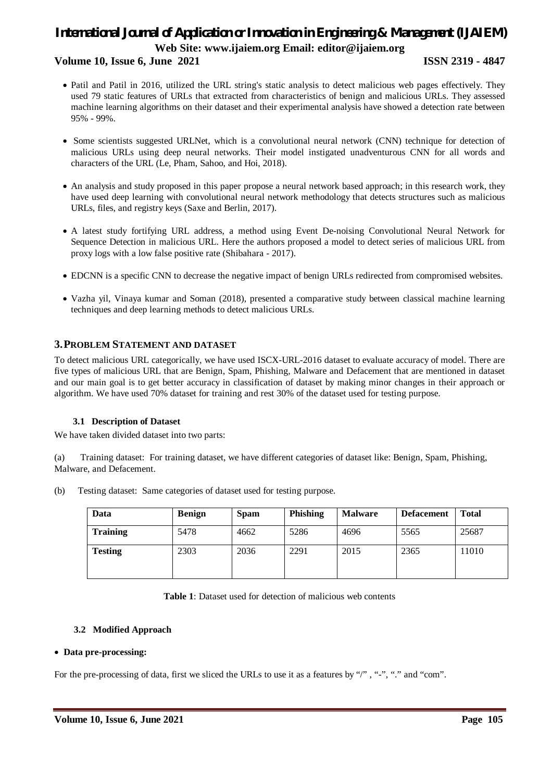## **Volume 10, Issue 6, June 2021 ISSN 2319 - 4847**

- Patil and Patil in 2016, utilized the URL string's static analysis to detect malicious web pages effectively. They used 79 static features of URLs that extracted from characteristics of benign and malicious URLs. They assessed machine learning algorithms on their dataset and their experimental analysis have showed a detection rate between 95% - 99%.
- Some scientists suggested URLNet, which is a convolutional neural network (CNN) technique for detection of malicious URLs using deep neural networks. Their model instigated unadventurous CNN for all words and characters of the URL (Le, Pham, Sahoo, and Hoi, 2018).
- An analysis and study proposed in this paper propose a neural network based approach; in this research work, they have used deep learning with convolutional neural network methodology that detects structures such as malicious URLs, files, and registry keys (Saxe and Berlin, 2017).
- A latest study fortifying URL address, a method using Event De-noising Convolutional Neural Network for Sequence Detection in malicious URL. Here the authors proposed a model to detect series of malicious URL from proxy logs with a low false positive rate (Shibahara - 2017).
- EDCNN is a specific CNN to decrease the negative impact of benign URLs redirected from compromised websites.
- Vazha yil, Vinaya kumar and Soman (2018), presented a comparative study between classical machine learning techniques and deep learning methods to detect malicious URLs.

## **3.PROBLEM STATEMENT AND DATASET**

To detect malicious URL categorically, we have used ISCX-URL-2016 dataset to evaluate accuracy of model. There are five types of malicious URL that are Benign, Spam, Phishing, Malware and Defacement that are mentioned in dataset and our main goal is to get better accuracy in classification of dataset by making minor changes in their approach or algorithm. We have used 70% dataset for training and rest 30% of the dataset used for testing purpose.

### **3.1 Description of Dataset**

We have taken divided dataset into two parts:

(a) Training dataset: For training dataset, we have different categories of dataset like: Benign, Spam, Phishing, Malware, and Defacement.

| (b) | Testing dataset: Same categories of dataset used for testing purpose. |  |
|-----|-----------------------------------------------------------------------|--|
|     |                                                                       |  |

| Data            | <b>Benign</b> | <b>Spam</b> | <b>Phishing</b> | <b>Malware</b> | <b>Defacement</b> | <b>Total</b> |
|-----------------|---------------|-------------|-----------------|----------------|-------------------|--------------|
| <b>Training</b> | 5478          | 4662        | 5286            | 4696           | 5565              | 25687        |
| <b>Testing</b>  | 2303          | 2036        | 2291            | 2015           | 2365              | 11010        |

### **3.2 Modified Approach**

### **Data pre-processing:**

For the pre-processing of data, first we sliced the URLs to use it as a features by "/", "-", "." and "com".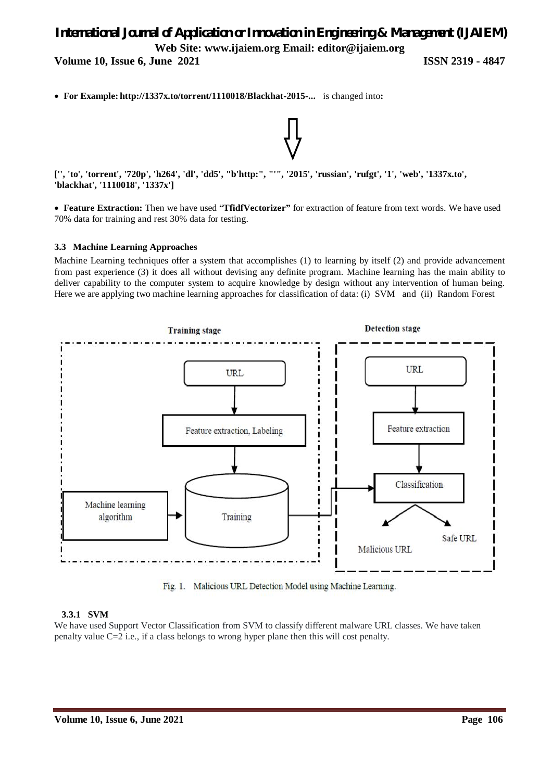**Volume 10, Issue 6, June 2021 ISSN 2319 - 4847** 

**For Example: http://1337x.to/torrent/1110018/Blackhat-2015-...** is changed into**:**

**['', 'to', 'torrent', '720p', 'h264', 'dl', 'dd5', "b'http:", "'", '2015', 'russian', 'rufgt', '1', 'web', '1337x.to', 'blackhat', '1110018', '1337x']**

 **Feature Extraction:** Then we have used "**TfidfVectorizer"** for extraction of feature from text words. We have used 70% data for training and rest 30% data for testing.

### **3.3 Machine Learning Approaches**

Machine Learning techniques offer a system that accomplishes (1) to learning by itself (2) and provide advancement from past experience (3) it does all without devising any definite program. Machine learning has the main ability to deliver capability to the computer system to acquire knowledge by design without any intervention of human being. Here we are applying two machine learning approaches for classification of data: (i) SVM and (ii) Random Forest



Fig. 1. Malicious URL Detection Model using Machine Learning.

## **3.3.1 SVM**

We have used Support Vector Classification from SVM to classify different malware URL classes. We have taken penalty value C=2 i.e., if a class belongs to wrong hyper plane then this will cost penalty.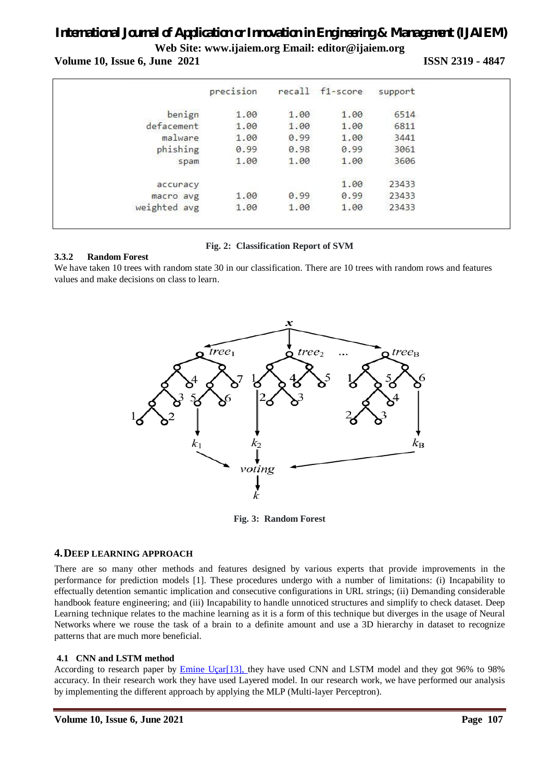**Volume 10, Issue 6, June 2021 ISSN 2319 - 4847** 

|              | precision |      | recall f1-score | support |  |
|--------------|-----------|------|-----------------|---------|--|
| benign       | 1.00      | 1.00 | 1.00            | 6514    |  |
| defacement   | 1.00      | 1.00 | 1.00            | 6811    |  |
| malware      | 1.00      | 0.99 | 1.00            | 3441    |  |
| phishing     | 0.99      | 0.98 | 0.99            | 3061    |  |
| spam         | 1.00      | 1.00 | 1.00            | 3606    |  |
| accuracy     |           |      | 1.00            | 23433   |  |
| macro avg    | 1.00      | 0.99 | 0.99            | 23433   |  |
| weighted avg | 1.00      | 1.00 | 1.00            | 23433   |  |

## **Fig. 2: Classification Report of SVM**

## **3.3.2 Random Forest**

We have taken 10 trees with random state 30 in our classification. There are 10 trees with random rows and features values and make decisions on class to learn.



**Fig. 3: Random Forest**

## **4.DEEP LEARNING APPROACH**

There are so many other methods and features designed by various experts that provide improvements in the performance for prediction models [1]. These procedures undergo with a number of limitations: (i) Incapability to effectually detention semantic implication and consecutive configurations in URL strings; (ii) Demanding considerable handbook feature engineering; and (iii) Incapability to handle unnoticed structures and simplify to check dataset. Deep Learning technique relates to the machine learning as it is a form of this technique but diverges in the usage of Neural Networks where we rouse the task of a brain to a definite amount and use a 3D hierarchy in dataset to recognize patterns that are much more beneficial.

## **4.1 CNN and LSTM method**

According to research paper by Emine Uçar[13], they have used CNN and LSTM model and they got 96% to 98% accuracy. In their research work they have used Layered model. In our research work, we have performed our analysis by implementing the different approach by applying the MLP (Multi-layer Perceptron).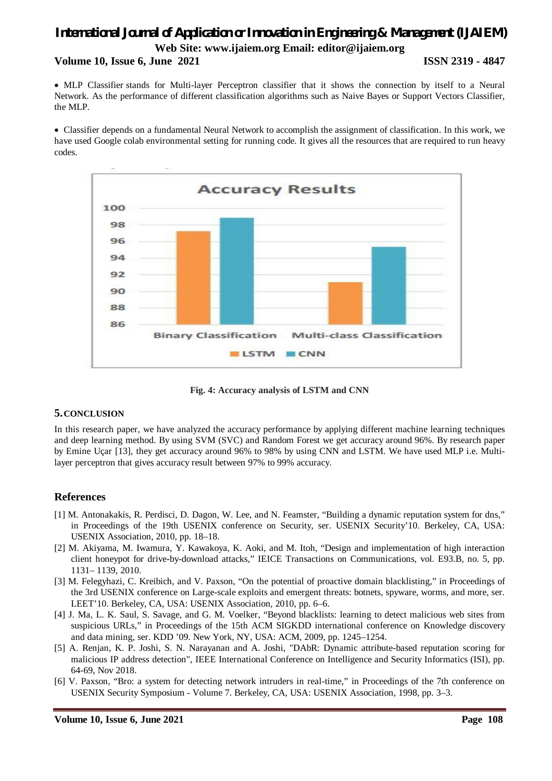## *International Journal of Application or Innovation in Engineering & Management (IJAIEM)* **Web Site: www.ijaiem.org Email: editor@ijaiem.org Volume 10, Issue 6, June 2021 ISSN 2319 - 4847**

 MLP Classifier stands for Multi-layer Perceptron classifier that it shows the connection by itself to a Neural Network. As the performance of different classification algorithms such as Naive Bayes or Support Vectors Classifier, the MLP.

 Classifier depends on a fundamental Neural Network to accomplish the assignment of classification. In this work, we have used Google colab environmental setting for running code. It gives all the resources that are required to run heavy codes.



**Fig. 4: Accuracy analysis of LSTM and CNN**

## **5.CONCLUSION**

In this research paper, we have analyzed the accuracy performance by applying different machine learning techniques and deep learning method. By using SVM (SVC) and Random Forest we get accuracy around 96%. By research paper by Emine Uçar [13], they get accuracy around 96% to 98% by using CNN and LSTM. We have used MLP i.e. Multilayer perceptron that gives accuracy result between 97% to 99% accuracy.

## **References**

- [1] M. Antonakakis, R. Perdisci, D. Dagon, W. Lee, and N. Feamster, "Building a dynamic reputation system for dns," in Proceedings of the 19th USENIX conference on Security, ser. USENIX Security'10. Berkeley, CA, USA: USENIX Association, 2010, pp. 18–18.
- [2] M. Akiyama, M. Iwamura, Y. Kawakoya, K. Aoki, and M. Itoh, "Design and implementation of high interaction client honeypot for drive-by-download attacks," IEICE Transactions on Communications, vol. E93.B, no. 5, pp. 1131– 1139, 2010.
- [3] M. Felegyhazi, C. Kreibich, and V. Paxson, "On the potential of proactive domain blacklisting," in Proceedings of the 3rd USENIX conference on Large-scale exploits and emergent threats: botnets, spyware, worms, and more, ser. LEET'10. Berkeley, CA, USA: USENIX Association, 2010, pp. 6–6.
- [4] J. Ma, L. K. Saul, S. Savage, and G. M. Voelker, "Beyond blacklists: learning to detect malicious web sites from suspicious URLs," in Proceedings of the 15th ACM SIGKDD international conference on Knowledge discovery and data mining, ser. KDD '09. New York, NY, USA: ACM, 2009, pp. 1245–1254.
- [5] A. Renjan, K. P. Joshi, S. N. Narayanan and A. Joshi, "DAbR: Dynamic attribute-based reputation scoring for malicious IP address detection", IEEE International Conference on Intelligence and Security Informatics (ISI), pp. 64-69, Nov 2018.
- [6] V. Paxson, "Bro: a system for detecting network intruders in real-time," in Proceedings of the 7th conference on USENIX Security Symposium - Volume 7. Berkeley, CA, USA: USENIX Association, 1998, pp. 3–3.